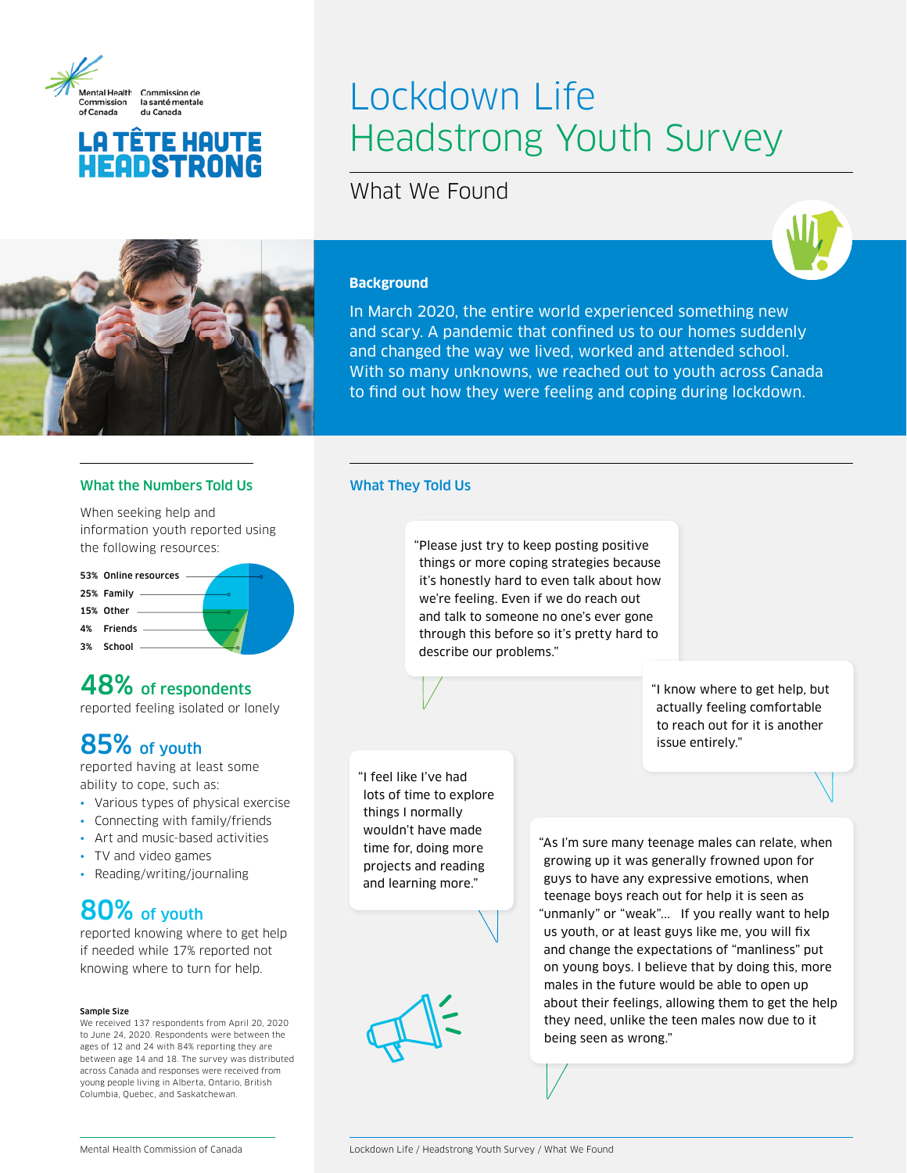

## **LA TÊTE HAUTE** HEQDSTRONG

# Lockdown Life Headstrong Youth Survey

What We Found



### **Background**

In March 2020, the entire world experienced something new and scary. A pandemic that confined us to our homes suddenly and changed the way we lived, worked and attended school. With so many unknowns, we reached out to youth across Canada to find out how they were feeling and coping during lockdown.

### What the Numbers Told Us What They Told Us

When seeking help and information youth reported using the following resources:



## 48% of respondents

reported feeling isolated or lonely

## 85% of youth

reported having at least some ability to cope, such as:

- Various types of physical exercise
- Connecting with family/friends
- Art and music-based activities
- TV and video games
- Reading/writing/journaling

## 80% of youth

reported knowing where to get help if needed while 17% reported not knowing where to turn for help.

#### Sample Size

We received 137 respondents from April 20, 2020 to June 24, 2020. Respondents were between the ages of 12 and 24 with 84% reporting they are between age 14 and 18. The survey was distributed across Canada and responses were received from young people living in Alberta, Ontario, British Columbia, Quebec, and Saskatchewan.

"Please just try to keep posting positive things or more coping strategies because it's honestly hard to even talk about how we're feeling. Even if we do reach out and talk to someone no one's ever gone through this before so it's pretty hard to describe our problems."

"I feel like I've had lots of time to explore things I normally wouldn't have made time for, doing more projects and reading and learning more."

"As I'm sure many teenage males can relate, when growing up it was generally frowned upon for guys to have any expressive emotions, when teenage boys reach out for help it is seen as "unmanly" or "weak"... If you really want to help us youth, or at least guys like me, you will fix and change the expectations of "manliness" put on young boys. I believe that by doing this, more males in the future would be able to open up about their feelings, allowing them to get the help they need, unlike the teen males now due to it being seen as wrong."

issue entirely."

"I know where to get help, but actually feeling comfortable to reach out for it is another